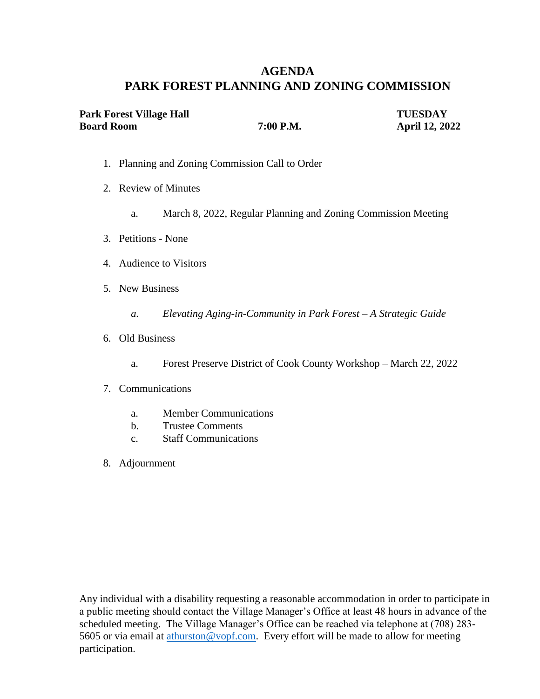# **AGENDA PARK FOREST PLANNING AND ZONING COMMISSION**

| Park Forest Village Hall |           | <b>TUESDAY</b>        |
|--------------------------|-----------|-----------------------|
| <b>Board Room</b>        | 7:00 P.M. | <b>April 12, 2022</b> |

- 1. Planning and Zoning Commission Call to Order
- 2. Review of Minutes
	- a. March 8, 2022, Regular Planning and Zoning Commission Meeting
- 3. Petitions None
- 4. Audience to Visitors
- 5. New Business
	- *a. Elevating Aging-in-Community in Park Forest – A Strategic Guide*
- 6. Old Business
	- a. Forest Preserve District of Cook County Workshop March 22, 2022
- 7. Communications
	- a. Member Communications
	- b. Trustee Comments
	- c. Staff Communications
- 8. Adjournment

Any individual with a disability requesting a reasonable accommodation in order to participate in a public meeting should contact the Village Manager's Office at least 48 hours in advance of the scheduled meeting. The Village Manager's Office can be reached via telephone at (708) 283 5605 or via email at [athurston@vopf.com.](mailto:athurston@vopf.com) Every effort will be made to allow for meeting participation.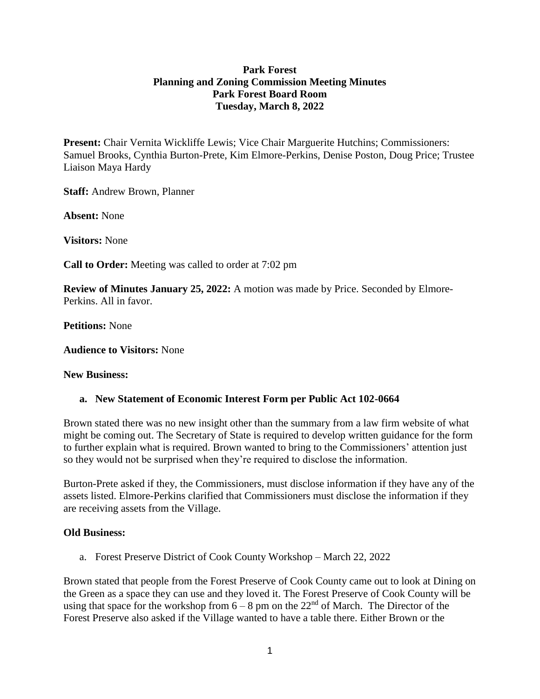## **Park Forest Planning and Zoning Commission Meeting Minutes Park Forest Board Room Tuesday, March 8, 2022**

**Present:** Chair Vernita Wickliffe Lewis; Vice Chair Marguerite Hutchins; Commissioners: Samuel Brooks, Cynthia Burton-Prete, Kim Elmore-Perkins, Denise Poston, Doug Price; Trustee Liaison Maya Hardy

**Staff:** Andrew Brown, Planner

**Absent:** None

**Visitors:** None

**Call to Order:** Meeting was called to order at 7:02 pm

**Review of Minutes January 25, 2022:** A motion was made by Price. Seconded by Elmore-Perkins. All in favor.

**Petitions:** None

**Audience to Visitors:** None

#### **New Business:**

#### **a. New Statement of Economic Interest Form per Public Act 102-0664**

Brown stated there was no new insight other than the summary from a law firm website of what might be coming out. The Secretary of State is required to develop written guidance for the form to further explain what is required. Brown wanted to bring to the Commissioners' attention just so they would not be surprised when they're required to disclose the information.

Burton-Prete asked if they, the Commissioners, must disclose information if they have any of the assets listed. Elmore-Perkins clarified that Commissioners must disclose the information if they are receiving assets from the Village.

#### **Old Business:**

a. Forest Preserve District of Cook County Workshop – March 22, 2022

Brown stated that people from the Forest Preserve of Cook County came out to look at Dining on the Green as a space they can use and they loved it. The Forest Preserve of Cook County will be using that space for the workshop from  $6 - 8$  pm on the  $22<sup>nd</sup>$  of March. The Director of the Forest Preserve also asked if the Village wanted to have a table there. Either Brown or the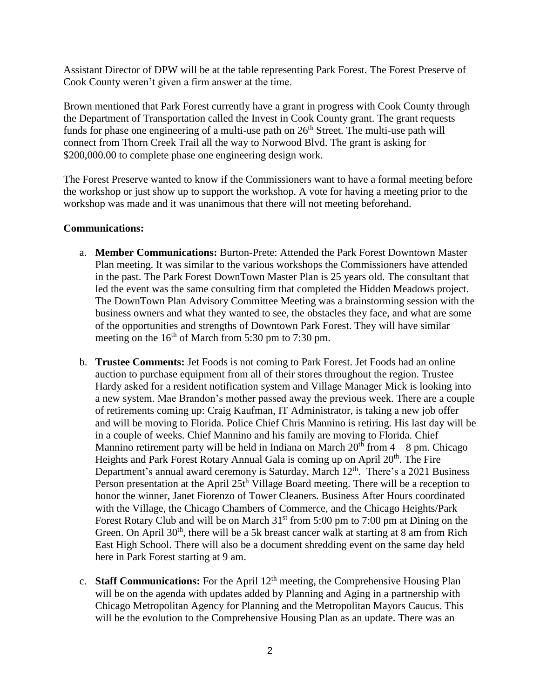Assistant Director of DPW will be at the table representing Park Forest. The Forest Preserve of Cook County weren't given a firm answer at the time.

Brown mentioned that Park Forest currently have a grant in progress with Cook County through the Department of Transportation called the Invest in Cook County grant. The grant requests funds for phase one engineering of a multi-use path on  $26<sup>th</sup>$  Street. The multi-use path will connect from Thorn Creek Trail all the way to Norwood Blvd. The grant is asking for \$200,000.00 to complete phase one engineering design work.

The Forest Preserve wanted to know if the Commissioners want to have a formal meeting before the workshop or just show up to support the workshop. A vote for having a meeting prior to the workshop was made and it was unanimous that there will not meeting beforehand.

## **Communications:**

- a. **Member Communications:** Burton-Prete: Attended the Park Forest Downtown Master Plan meeting. It was similar to the various workshops the Commissioners have attended in the past. The Park Forest DownTown Master Plan is 25 years old. The consultant that led the event was the same consulting firm that completed the Hidden Meadows project. The DownTown Plan Advisory Committee Meeting was a brainstorming session with the business owners and what they wanted to see, the obstacles they face, and what are some of the opportunities and strengths of Downtown Park Forest. They will have similar meeting on the  $16<sup>th</sup>$  of March from 5:30 pm to 7:30 pm.
- b. **Trustee Comments:** Jet Foods is not coming to Park Forest. Jet Foods had an online auction to purchase equipment from all of their stores throughout the region. Trustee Hardy asked for a resident notification system and Village Manager Mick is looking into a new system. Mae Brandon's mother passed away the previous week. There are a couple of retirements coming up: Craig Kaufman, IT Administrator, is taking a new job offer and will be moving to Florida. Police Chief Chris Mannino is retiring. His last day will be in a couple of weeks. Chief Mannino and his family are moving to Florida. Chief Mannino retirement party will be held in Indiana on March  $20<sup>th</sup>$  from  $4 - 8$  pm. Chicago Heights and Park Forest Rotary Annual Gala is coming up on April 20<sup>th</sup>. The Fire Department's annual award ceremony is Saturday, March 12<sup>th</sup>. There's a 2021 Business Person presentation at the April 25t<sup>h</sup> Village Board meeting. There will be a reception to honor the winner, Janet Fiorenzo of Tower Cleaners. Business After Hours coordinated with the Village, the Chicago Chambers of Commerce, and the Chicago Heights/Park Forest Rotary Club and will be on March  $31<sup>st</sup>$  from 5:00 pm to 7:00 pm at Dining on the Green. On April  $30<sup>th</sup>$ , there will be a 5k breast cancer walk at starting at 8 am from Rich East High School. There will also be a document shredding event on the same day held here in Park Forest starting at 9 am.
- c. **Staff Communications:** For the April 12th meeting, the Comprehensive Housing Plan will be on the agenda with updates added by Planning and Aging in a partnership with Chicago Metropolitan Agency for Planning and the Metropolitan Mayors Caucus. This will be the evolution to the Comprehensive Housing Plan as an update. There was an